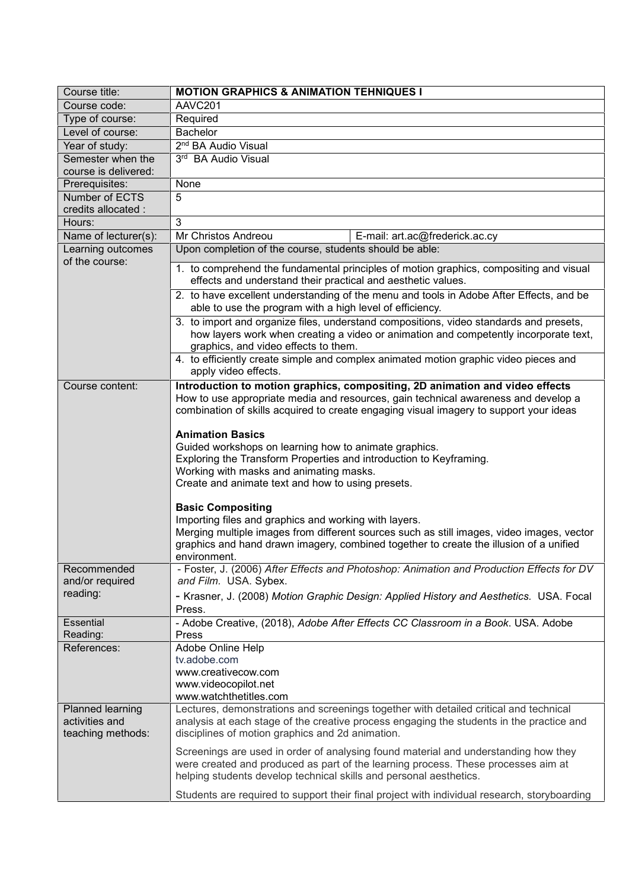| Course title:                                           | <b>MOTION GRAPHICS &amp; ANIMATION TEHNIQUES I</b>                                                                                                                                                                                                                                       |
|---------------------------------------------------------|------------------------------------------------------------------------------------------------------------------------------------------------------------------------------------------------------------------------------------------------------------------------------------------|
| Course code:                                            | AAVC201                                                                                                                                                                                                                                                                                  |
| Type of course:                                         | Required                                                                                                                                                                                                                                                                                 |
| Level of course:                                        | <b>Bachelor</b>                                                                                                                                                                                                                                                                          |
| Year of study:                                          | 2 <sup>nd</sup> BA Audio Visual                                                                                                                                                                                                                                                          |
| Semester when the                                       | 3rd BA Audio Visual                                                                                                                                                                                                                                                                      |
| course is delivered:                                    |                                                                                                                                                                                                                                                                                          |
| Prerequisites:                                          | None                                                                                                                                                                                                                                                                                     |
| Number of ECTS                                          | 5                                                                                                                                                                                                                                                                                        |
| credits allocated :                                     |                                                                                                                                                                                                                                                                                          |
| Hours:                                                  | 3                                                                                                                                                                                                                                                                                        |
| Name of lecturer(s):                                    | Mr Christos Andreou<br>E-mail: art.ac@frederick.ac.cy                                                                                                                                                                                                                                    |
| Learning outcomes<br>of the course:                     | Upon completion of the course, students should be able:                                                                                                                                                                                                                                  |
|                                                         | 1. to comprehend the fundamental principles of motion graphics, compositing and visual<br>effects and understand their practical and aesthetic values.                                                                                                                                   |
|                                                         | 2. to have excellent understanding of the menu and tools in Adobe After Effects, and be<br>able to use the program with a high level of efficiency.                                                                                                                                      |
|                                                         | 3. to import and organize files, understand compositions, video standards and presets,<br>how layers work when creating a video or animation and competently incorporate text,<br>graphics, and video effects to them.                                                                   |
|                                                         | 4. to efficiently create simple and complex animated motion graphic video pieces and<br>apply video effects.                                                                                                                                                                             |
| Course content:                                         | Introduction to motion graphics, compositing, 2D animation and video effects<br>How to use appropriate media and resources, gain technical awareness and develop a<br>combination of skills acquired to create engaging visual imagery to support your ideas                             |
|                                                         | <b>Animation Basics</b><br>Guided workshops on learning how to animate graphics.<br>Exploring the Transform Properties and introduction to Keyframing.<br>Working with masks and animating masks.                                                                                        |
|                                                         | Create and animate text and how to using presets.                                                                                                                                                                                                                                        |
|                                                         | <b>Basic Compositing</b><br>Importing files and graphics and working with layers.<br>Merging multiple images from different sources such as still images, video images, vector<br>graphics and hand drawn imagery, combined together to create the illusion of a unified<br>environment. |
| Recommended<br>and/or required                          | - Foster, J. (2006) After Effects and Photoshop: Animation and Production Effects for DV<br>and Film. USA. Sybex.                                                                                                                                                                        |
| reading:                                                | - Krasner, J. (2008) Motion Graphic Design: Applied History and Aesthetics. USA. Focal<br>Press.                                                                                                                                                                                         |
| <b>Essential</b><br>Reading:                            | - Adobe Creative, (2018), Adobe After Effects CC Classroom in a Book. USA. Adobe<br>Press                                                                                                                                                                                                |
| References:                                             | Adobe Online Help<br>tv.adobe.com<br>www.creativecow.com<br>www.videocopilot.net<br>www.watchthetitles.com                                                                                                                                                                               |
| Planned learning<br>activities and<br>teaching methods: | Lectures, demonstrations and screenings together with detailed critical and technical<br>analysis at each stage of the creative process engaging the students in the practice and<br>disciplines of motion graphics and 2d animation.                                                    |
|                                                         | Screenings are used in order of analysing found material and understanding how they<br>were created and produced as part of the learning process. These processes aim at<br>helping students develop technical skills and personal aesthetics.                                           |
|                                                         | Students are required to support their final project with individual research, storyboarding                                                                                                                                                                                             |